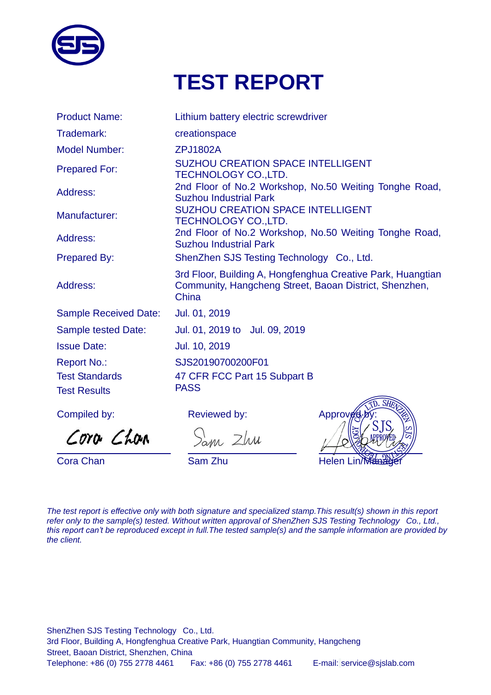

# **TEST REPORT**

| <b>Product Name:</b>         | Lithium battery electric screwdriver                                                                                           |
|------------------------------|--------------------------------------------------------------------------------------------------------------------------------|
| Trademark:                   | creationspace                                                                                                                  |
| <b>Model Number:</b>         | <b>ZPJ1802A</b>                                                                                                                |
| <b>Prepared For:</b>         | <b>SUZHOU CREATION SPACE INTELLIGENT</b><br><b>TECHNOLOGY CO., LTD.</b>                                                        |
| Address:                     | 2nd Floor of No.2 Workshop, No.50 Weiting Tonghe Road,<br><b>Suzhou Industrial Park</b>                                        |
| Manufacturer:                | <b>SUZHOU CREATION SPACE INTELLIGENT</b><br><b>TECHNOLOGY CO., LTD.</b>                                                        |
| Address:                     | 2nd Floor of No.2 Workshop, No.50 Weiting Tonghe Road,<br><b>Suzhou Industrial Park</b>                                        |
| <b>Prepared By:</b>          | ShenZhen SJS Testing Technology Co., Ltd.                                                                                      |
| Address:                     | 3rd Floor, Building A, Hongfenghua Creative Park, Huangtian<br>Community, Hangcheng Street, Baoan District, Shenzhen,<br>China |
| <b>Sample Received Date:</b> | Jul. 01, 2019                                                                                                                  |
| <b>Sample tested Date:</b>   | Jul. 01, 2019 to Jul. 09, 2019                                                                                                 |
| <b>Issue Date:</b>           | Jul. 10, 2019                                                                                                                  |
| <b>Report No.:</b>           | SJS20190700200F01                                                                                                              |
| <b>Test Standards</b>        | 47 CFR FCC Part 15 Subpart B                                                                                                   |
| <b>Test Results</b>          | <b>PASS</b><br>$S\overrightarrow{H}$                                                                                           |

Compiled by:

Cora Chan

 $\overline{a}$ 

Reviewed by:

Sam Zhu

L

Approv  $\overline{a}$ Cora Chan Sam Zhu Sam Zhu Helen Lin

*The test report is effective only with both signature and specialized stamp.This result(s) shown in this report refer only to the sample(s) tested. Without written approval of ShenZhen SJS Testing Technology Co., Ltd., this report can't be reproduced except in full.The tested sample(s) and the sample information are provided by the client.*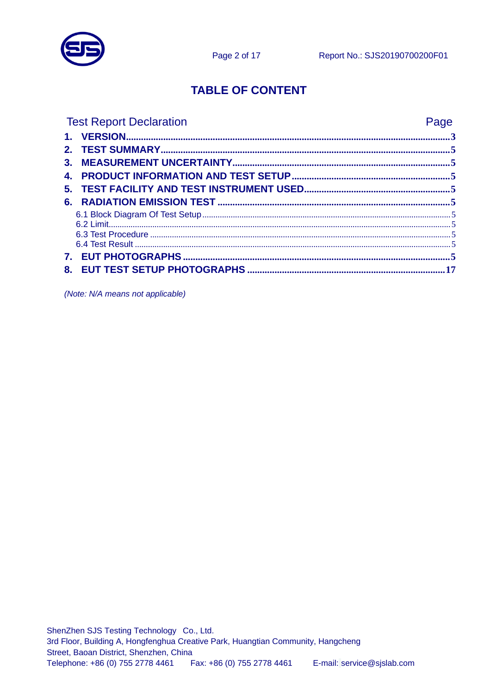

# **TABLE OF CONTENT**

| <b>Test Report Declaration</b> | Page |
|--------------------------------|------|
|                                |      |
|                                |      |
|                                |      |
|                                |      |
|                                |      |
|                                |      |
|                                |      |
|                                |      |
|                                |      |
|                                |      |
|                                |      |
|                                |      |

(Note: N/A means not applicable)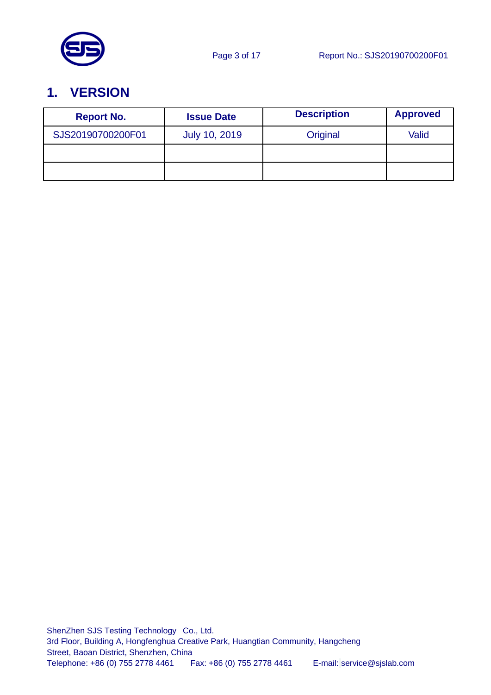

# <span id="page-2-0"></span>**1. VERSION**

| <b>Report No.</b> | <b>Issue Date</b>    | <b>Description</b> | <b>Approved</b> |
|-------------------|----------------------|--------------------|-----------------|
| SJS20190700200F01 | <b>July 10, 2019</b> | Original           | Valid           |
|                   |                      |                    |                 |
|                   |                      |                    |                 |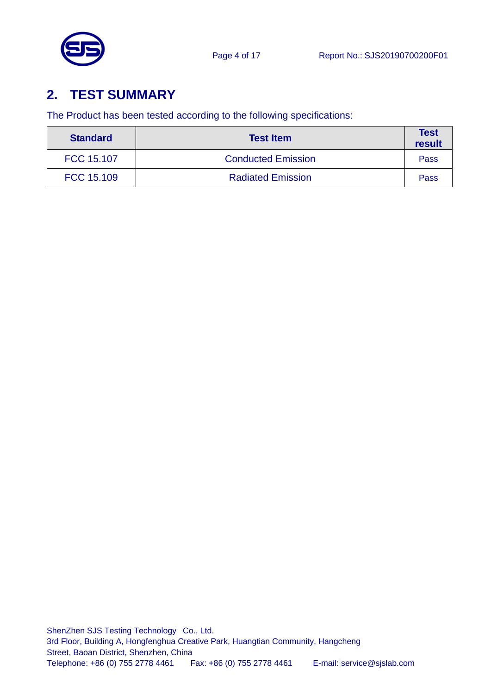

# <span id="page-3-0"></span>**2. TEST SUMMARY**

The Product has been tested according to the following specifications:

| <b>Standard</b> | <b>Test Item</b>          | <b>Test</b><br>result |
|-----------------|---------------------------|-----------------------|
| FCC 15.107      | <b>Conducted Emission</b> | Pass                  |
| FCC 15.109      | <b>Radiated Emission</b>  | Pass                  |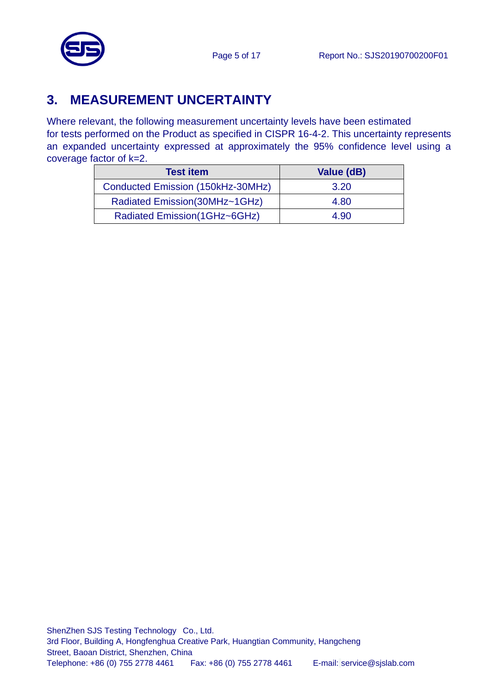

# <span id="page-4-0"></span>**3. MEASUREMENT UNCERTAINTY**

Where relevant, the following measurement uncertainty levels have been estimated for tests performed on the Product as specified in CISPR 16-4-2. This uncertainty represents an expanded uncertainty expressed at approximately the 95% confidence level using a coverage factor of k=2.

| <b>Test item</b>                  | Value (dB) |
|-----------------------------------|------------|
| Conducted Emission (150kHz-30MHz) | 3.20       |
| Radiated Emission(30MHz~1GHz)     | 4.80       |
| Radiated Emission(1GHz~6GHz)      | 4.90       |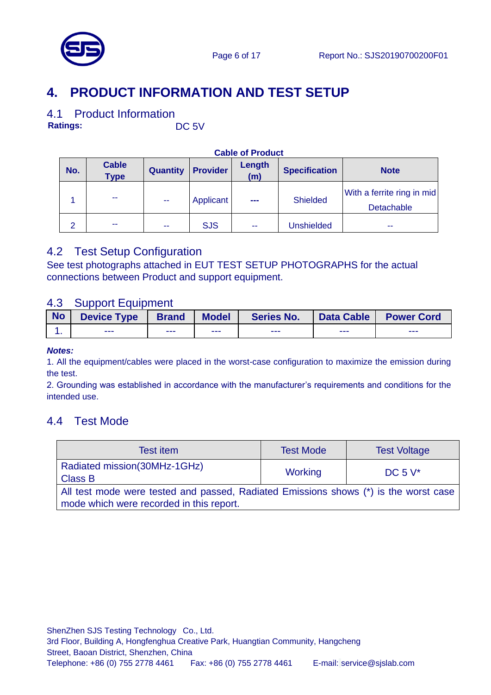



### <span id="page-5-0"></span>4.1 Product Information

**Ratings:** DC 5V

| No.            | <b>Cable</b><br><b>Type</b> | <b>Quantity</b> | <b>Provider</b> | Length<br>(m)     | <b>Specification</b> | <b>Note</b>                              |
|----------------|-----------------------------|-----------------|-----------------|-------------------|----------------------|------------------------------------------|
|                | шm,                         | --              | Applicant       | <b>STATISTICS</b> | <b>Shielded</b>      | With a ferrite ring in mid<br>Detachable |
| $\overline{2}$ | --                          | --              | <b>SJS</b>      | --                | Unshielded           | --                                       |

#### **Cable of Product**

### 4.2 Test Setup Configuration

See test photographs attached in EUT TEST SETUP PHOTOGRAPHS for the actual connections between Product and support equipment.

### 4.3 Support Equipment

| <b>No</b> | <b>Device Type</b> | <b>Brand</b> | <b>Model</b> | Series No. | Data Cable | <b>Power Cord</b> |
|-----------|--------------------|--------------|--------------|------------|------------|-------------------|
|           | ---                | ---          | ---          | ---        | ---        | ---               |

#### *Notes:*

1. All the equipment/cables were placed in the worst-case configuration to maximize the emission during the test.

2. Grounding was established in accordance with the manufacturer's requirements and conditions for the intended use.

### 4.4 Test Mode

| Test item                                                                                                                        | <b>Test Mode</b> | <b>Test Voltage</b> |  |  |  |
|----------------------------------------------------------------------------------------------------------------------------------|------------------|---------------------|--|--|--|
| Radiated mission(30MHz-1GHz)<br><b>Class B</b>                                                                                   | <b>Working</b>   | DC 5 $V^*$          |  |  |  |
| All test mode were tested and passed, Radiated Emissions shows (*) is the worst case<br>mode which were recorded in this report. |                  |                     |  |  |  |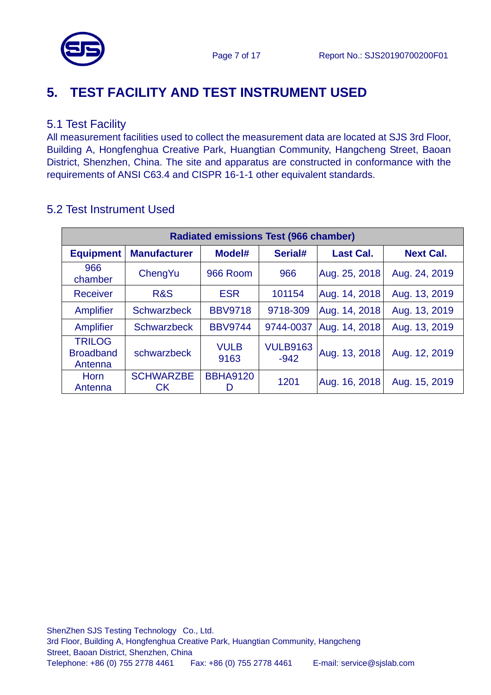

# <span id="page-6-0"></span>**5. TEST FACILITY AND TEST INSTRUMENT USED**

### 5.1 Test Facility

All measurement facilities used to collect the measurement data are located at SJS 3rd Floor, Building A, Hongfenghua Creative Park, Huangtian Community, Hangcheng Street, Baoan District, Shenzhen, China. The site and apparatus are constructed in conformance with the requirements of ANSI C63.4 and CISPR 16-1-1 other equivalent standards.

| <b>Radiated emissions Test (966 chamber)</b> |                        |                     |                           |                  |                  |  |  |  |
|----------------------------------------------|------------------------|---------------------|---------------------------|------------------|------------------|--|--|--|
| <b>Equipment</b>                             | <b>Manufacturer</b>    | Model#              | Serial#                   | <b>Last Cal.</b> | <b>Next Cal.</b> |  |  |  |
| 966<br>chamber                               | ChengYu                | 966 Room            | 966                       | Aug. 25, 2018    | Aug. 24, 2019    |  |  |  |
| <b>Receiver</b>                              | <b>R&amp;S</b>         | <b>ESR</b>          | 101154                    | Aug. 14, 2018    | Aug. 13, 2019    |  |  |  |
| Amplifier                                    | <b>Schwarzbeck</b>     | <b>BBV9718</b>      | 9718-309                  | Aug. 14, 2018    | Aug. 13, 2019    |  |  |  |
| Amplifier                                    | <b>Schwarzbeck</b>     | <b>BBV9744</b>      | 9744-0037                 | Aug. 14, 2018    | Aug. 13, 2019    |  |  |  |
| <b>TRILOG</b><br><b>Broadband</b><br>Antenna | schwarzbeck            | <b>VULB</b><br>9163 | <b>VULB9163</b><br>$-942$ | Aug. 13, 2018    | Aug. 12, 2019    |  |  |  |
| <b>Horn</b><br>Antenna                       | <b>SCHWARZBE</b><br>СK | <b>BBHA9120</b>     | 1201                      | Aug. 16, 2018    | Aug. 15, 2019    |  |  |  |

### 5.2 Test Instrument Used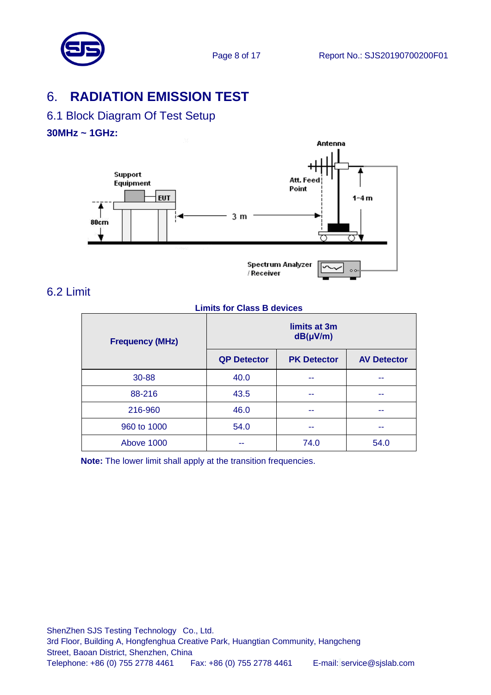# <span id="page-7-0"></span>6. **RADIATION EMISSION TEST**

## <span id="page-7-1"></span>6.1 Block Diagram Of Test Setup

#### **30MHz ~ 1GHz:**



### <span id="page-7-2"></span>6.2 Limit

#### **Limits for Class B devices**

| <b>Frequency (MHz)</b> | limits at 3m<br>$dB(\mu V/m)$ |                    |                    |  |  |  |
|------------------------|-------------------------------|--------------------|--------------------|--|--|--|
|                        | <b>QP Detector</b>            | <b>PK Detector</b> | <b>AV Detector</b> |  |  |  |
| 30-88                  | 40.0                          |                    |                    |  |  |  |
| 88-216                 | 43.5                          | --                 | --                 |  |  |  |
| 216-960                | 46.0                          |                    |                    |  |  |  |
| 960 to 1000            | 54.0                          | --                 |                    |  |  |  |
| Above 1000             |                               | 74.0               | 54.0               |  |  |  |

**Note:** The lower limit shall apply at the transition frequencies.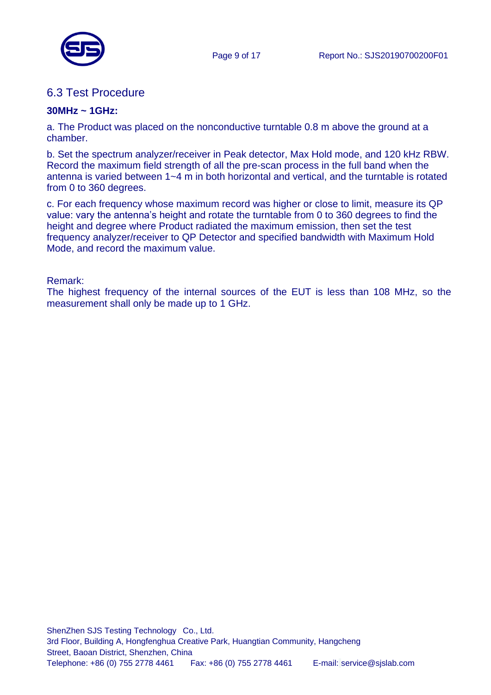

### <span id="page-8-0"></span>6.3 Test Procedure

#### **30MHz ~ 1GHz:**

a. The Product was placed on the nonconductive turntable 0.8 m above the ground at a chamber.

b. Set the spectrum analyzer/receiver in Peak detector, Max Hold mode, and 120 kHz RBW. Record the maximum field strength of all the pre-scan process in the full band when the antenna is varied between 1~4 m in both horizontal and vertical, and the turntable is rotated from 0 to 360 degrees.

c. For each frequency whose maximum record was higher or close to limit, measure its QP value: vary the antenna's height and rotate the turntable from 0 to 360 degrees to find the height and degree where Product radiated the maximum emission, then set the test frequency analyzer/receiver to QP Detector and specified bandwidth with Maximum Hold Mode, and record the maximum value.

Remark:

The highest frequency of the internal sources of the EUT is less than 108 MHz, so the measurement shall only be made up to 1 GHz.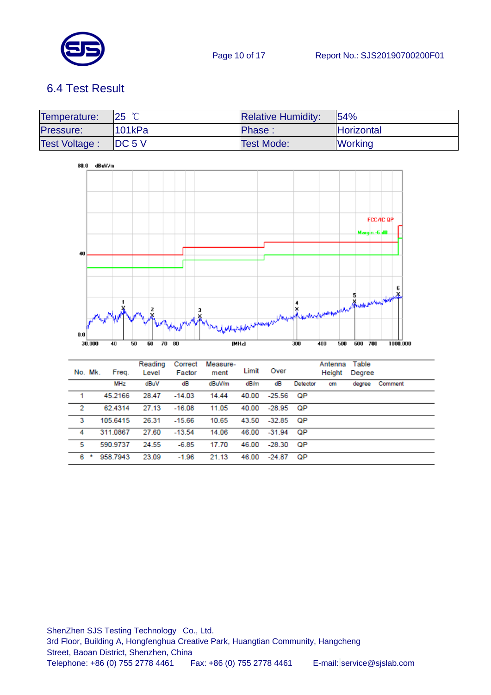

# <span id="page-9-0"></span>6.4 Test Result

| Temperature:         | $25$ °C              | <b>Relative Humidity:</b> | 154%           |
|----------------------|----------------------|---------------------------|----------------|
| Pressure:            | 101kPa               | Phase:                    | Horizontal     |
| <b>Test Voltage:</b> | $\overline{IDC}$ 5 V | <b>Test Mode:</b>         | <b>Working</b> |



|   | No. Mk. | Freq.      | Reading<br>Level | Correct<br>Factor | Measure-<br>ment | Limit | Over     |          | Antenna<br>Height | Table<br>Degree |         |
|---|---------|------------|------------------|-------------------|------------------|-------|----------|----------|-------------------|-----------------|---------|
|   |         | <b>MHz</b> | dBuV             | dB                | dBuV/m           | dB/m  | dB       | Detector | cm                | degree          | Comment |
| 1 |         | 45.2166    | 28.47            | $-14.03$          | 14.44            | 40.00 | $-25.56$ | ОP       |                   |                 |         |
| 2 |         | 62.4314    | 27.13            | $-16.08$          | 11.05            | 40.00 | $-28.95$ | - OP     |                   |                 |         |
| 3 |         | 105.6415   | 26.31            | $-15.66$          | 10.65            | 43.50 | $-32.85$ | ОP       |                   |                 |         |
| 4 |         | 311.0867   | 27.60            | $-13.54$          | 14.06            | 46.00 | $-31.94$ | QP       |                   |                 |         |
| 5 |         | 590.9737   | 24.55            | $-6.85$           | 17.70            | 46.00 | $-28.30$ | QP       |                   |                 |         |
| 6 | *       | 958.7943   | 23.09            | $-1.96$           | 21.13            | 46.00 | $-24.87$ | QP       |                   |                 |         |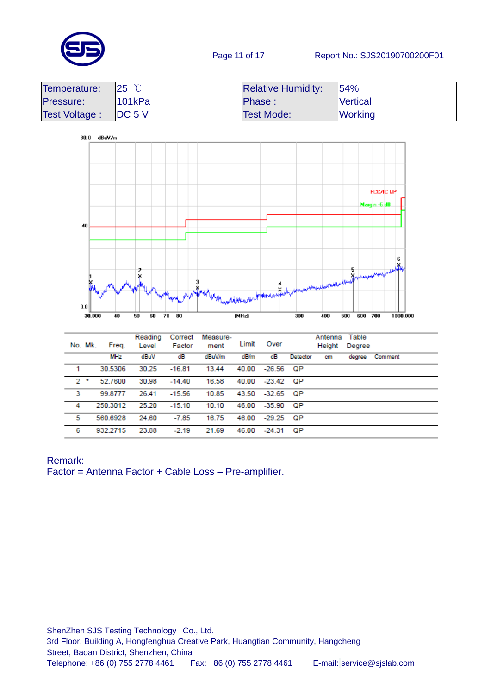

#### Page 11 of 17 Report No.: SJS20190700200F01

| Temperature:         | $\overline{25}$ °C | <b>Relative Humidity:</b> | 154%            |
|----------------------|--------------------|---------------------------|-----------------|
| Pressure:            | 101kPa             | <b>Phase:</b>             | <b>Vertical</b> |
| <b>Test Voltage:</b> | DC <sub>5</sub>    | <b>Test Mode:</b>         | <b>Working</b>  |



|   | No. Mk.   | Freq.      | Reading<br>Level | Correct<br>Factor | Measure-<br>ment | Limit | Over        |          | Antenna<br>Height | Table<br>Degree |         |
|---|-----------|------------|------------------|-------------------|------------------|-------|-------------|----------|-------------------|-----------------|---------|
|   |           | <b>MHz</b> | dBuV             | dB                | dBuV/m           | dB/m  | dB          | Detector | cm                | degree          | Comment |
| 1 |           | 30.5306    | 30.25            | $-16.81$          | 13.44            | 40.00 | $-26.56$    | - QP     |                   |                 |         |
|   | $2$ $\pm$ | 52.7600    | 30.98            | $-14.40$          | 16.58            | 40.00 | $-23.42$ QP |          |                   |                 |         |
| 3 |           | 99.8777    | 26.41            | $-15.56$          | 10.85            | 43.50 | $-32.65$ QP |          |                   |                 |         |
| 4 |           | 250.3012   | 25.20            | $-15.10$          | 10.10            | 46.00 | -35.90      | ОP       |                   |                 |         |
| 5 |           | 560.6928   | 24.60            | $-7.85$           | 16.75            | 46.00 | $-29.25$    | - OP     |                   |                 |         |
| 6 |           | 932.2715   | 23.88            | $-2.19$           | 21.69            | 46.00 | $-24.31$    | QP       |                   |                 |         |

#### Remark:

Factor = Antenna Factor + Cable Loss – Pre-amplifier.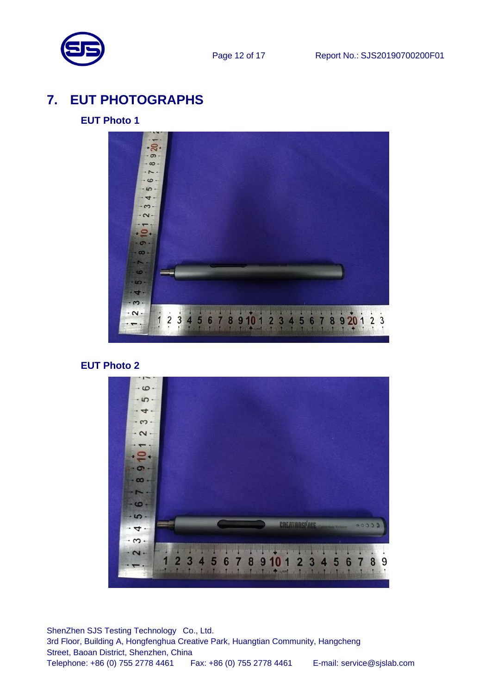

# <span id="page-11-0"></span>**7. EUT PHOTOGRAPHS**

#### **EUT Photo 1**



#### **EUT Photo 2**

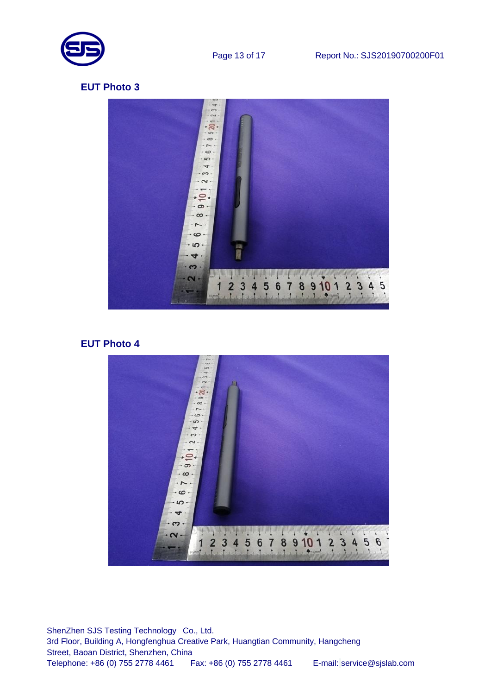



#### **EUT Photo 4**

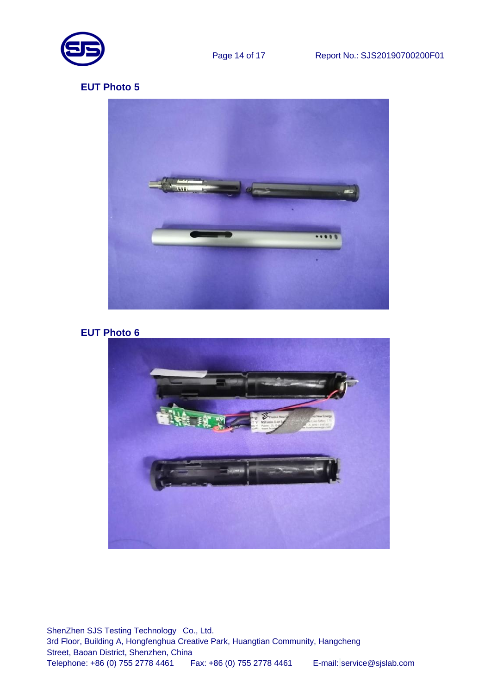



```
EUT Photo 6
```
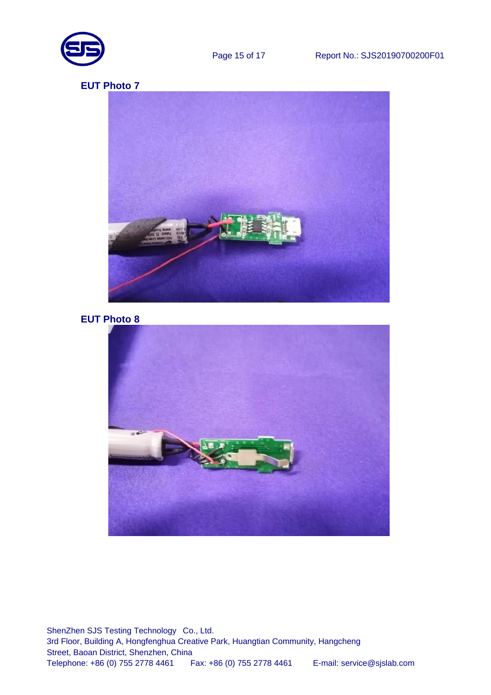



### **EUT Photo 8**

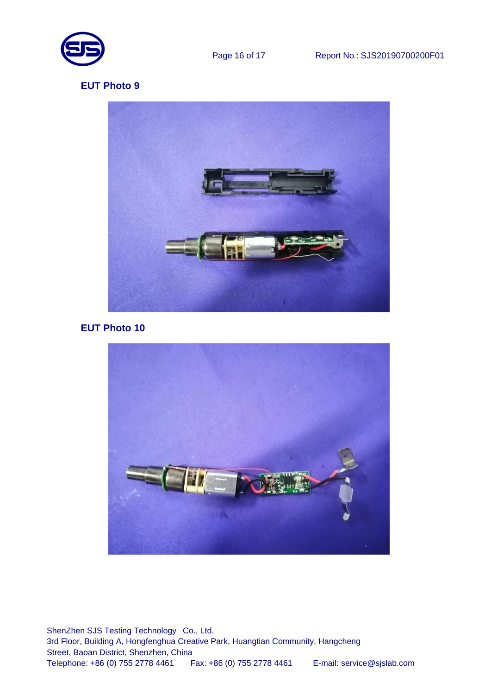



#### **EUT Photo 10**